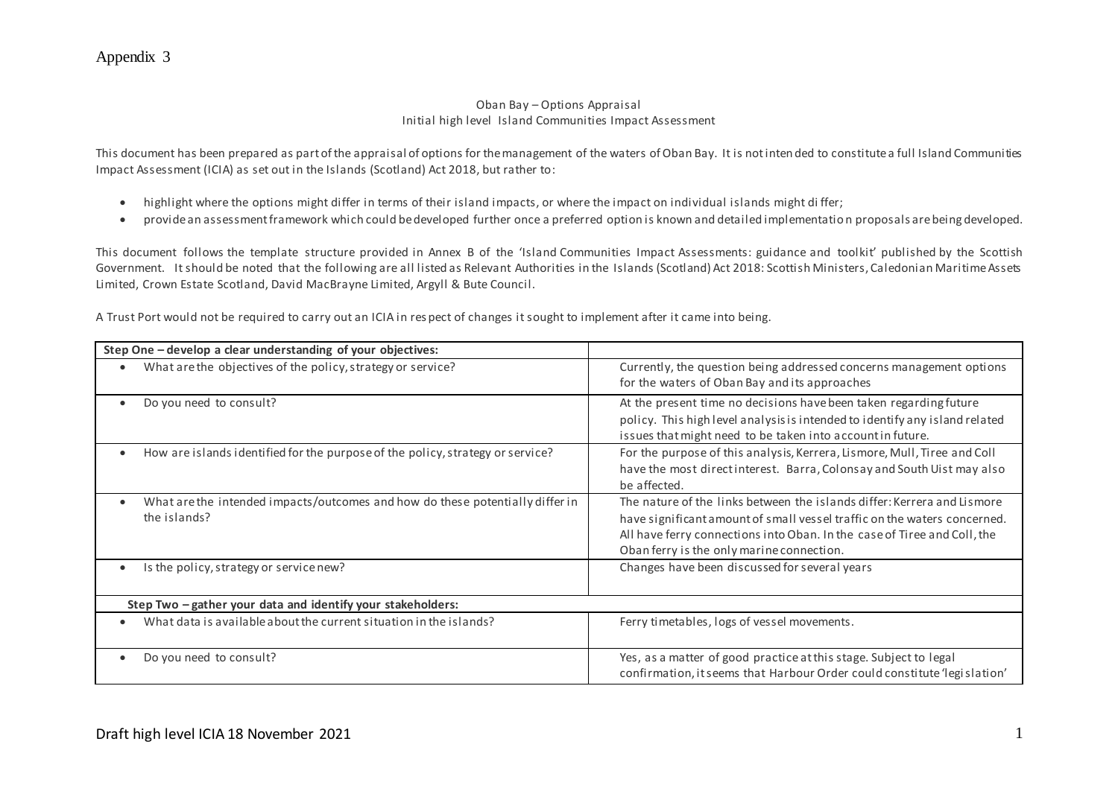### Oban Bay – Options Appraisal Initial high level Island Communities Impact Assessment

This document has been prepared as part of the appraisal of options for the management of the waters of Oban Bay. It is not inten ded to constitute a full Island Communities Impact Assessment (ICIA) as set out in the Islands (Scotland) Act 2018, but rather to:

- highlight where the options might differ in terms of their island impacts, or where the impact on individual islands might differ;
- provide an assessment framework which could be developed further once a preferred option is known and detailed implementatio n proposals are being developed.

This document follows the template structure provided in Annex B of the 'Island Communities Impact Assessments: guidance and toolkit' published by the Scottish Government. It should be noted that the following are all listed as Relevant Authorities in the Islands (Scotland) Act 2018: Scottish Ministers, Caledonian Maritime Assets Limited, Crown Estate Scotland, David MacBrayne Limited, Argyll & Bute Council.

A Trust Port would not be required to carry out an ICIA in res pect of changes it sought to implement after it came into being.

| Step One - develop a clear understanding of your objectives:                                  |                                                                                                                                                                                                                                                                              |  |
|-----------------------------------------------------------------------------------------------|------------------------------------------------------------------------------------------------------------------------------------------------------------------------------------------------------------------------------------------------------------------------------|--|
| What are the objectives of the policy, strategy or service?                                   | Currently, the question being addressed concerns management options<br>for the waters of Oban Bay and its approaches                                                                                                                                                         |  |
| Do you need to consult?                                                                       | At the present time no decisions have been taken regarding future<br>policy. This high level analysis is intended to identify any island related<br>issues that might need to be taken into account in future.                                                               |  |
| How are islands identified for the purpose of the policy, strategy or service?                | For the purpose of this analysis, Kerrera, Lismore, Mull, Tiree and Coll<br>have the most directinterest. Barra, Colonsay and South Uist may also<br>be affected.                                                                                                            |  |
| What are the intended impacts/outcomes and how do these potentially differ in<br>the islands? | The nature of the links between the islands differ: Kerrera and Lismore<br>have significant amount of small vessel traffic on the waters concerned.<br>All have ferry connections into Oban. In the case of Tiree and Coll, the<br>Oban ferry is the only marine connection. |  |
| Is the policy, strategy or service new?                                                       | Changes have been discussed for several years                                                                                                                                                                                                                                |  |
| Step Two - gather your data and identify your stakeholders:                                   |                                                                                                                                                                                                                                                                              |  |
| What data is available about the current situation in the islands?                            | Ferry timetables, logs of vessel movements.                                                                                                                                                                                                                                  |  |
| Do you need to consult?                                                                       | Yes, as a matter of good practice at this stage. Subject to legal<br>confirmation, it seems that Harbour Order could constitute 'legislation'                                                                                                                                |  |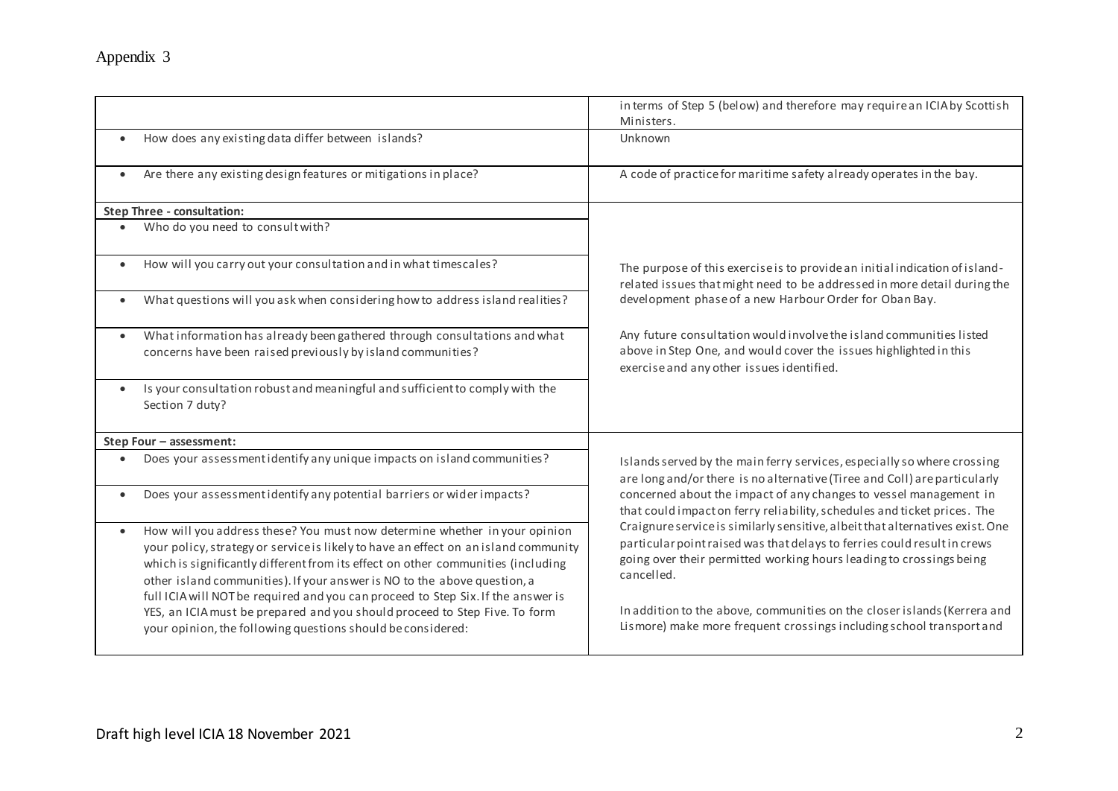|                                                                                                                                                                                                                                                                                                                                         | in terms of Step 5 (below) and therefore may require an ICIA by Scottish<br>Ministers.                                                                                                                                                                                                                                                                                                          |
|-----------------------------------------------------------------------------------------------------------------------------------------------------------------------------------------------------------------------------------------------------------------------------------------------------------------------------------------|-------------------------------------------------------------------------------------------------------------------------------------------------------------------------------------------------------------------------------------------------------------------------------------------------------------------------------------------------------------------------------------------------|
| How does any existing data differ between islands?<br>$\bullet$                                                                                                                                                                                                                                                                         | Unknown                                                                                                                                                                                                                                                                                                                                                                                         |
| Are there any existing design features or mitigations in place?<br>$\bullet$                                                                                                                                                                                                                                                            | A code of practice for maritime safety already operates in the bay.                                                                                                                                                                                                                                                                                                                             |
| <b>Step Three - consultation:</b>                                                                                                                                                                                                                                                                                                       |                                                                                                                                                                                                                                                                                                                                                                                                 |
| Who do you need to consult with?                                                                                                                                                                                                                                                                                                        |                                                                                                                                                                                                                                                                                                                                                                                                 |
| How will you carry out your consultation and in what timescales?<br>$\bullet$                                                                                                                                                                                                                                                           | The purpose of this exercise is to provide an initial indication of island-<br>related issues that might need to be addressed in more detail during the                                                                                                                                                                                                                                         |
| What questions will you ask when considering how to address island realities?                                                                                                                                                                                                                                                           | development phase of a new Harbour Order for Oban Bay.                                                                                                                                                                                                                                                                                                                                          |
| What information has already been gathered through consultations and what<br>$\bullet$<br>concerns have been raised previously by island communities?                                                                                                                                                                                   | Any future consultation would involve the island communities listed<br>above in Step One, and would cover the issues highlighted in this<br>exercise and any other issues identified.                                                                                                                                                                                                           |
| Is your consultation robust and meaningful and sufficient to comply with the<br>$\bullet$<br>Section 7 duty?                                                                                                                                                                                                                            |                                                                                                                                                                                                                                                                                                                                                                                                 |
| Step Four - assessment:                                                                                                                                                                                                                                                                                                                 |                                                                                                                                                                                                                                                                                                                                                                                                 |
| Does your assessment identify any unique impacts on island communities?                                                                                                                                                                                                                                                                 | Islands served by the main ferry services, especially so where crossing<br>are long and/or there is no alternative (Tiree and Coll) are particularly                                                                                                                                                                                                                                            |
| Does your assessment identify any potential barriers or wider impacts?<br>$\bullet$                                                                                                                                                                                                                                                     | concerned about the impact of any changes to vessel management in<br>that could impact on ferry reliability, schedules and ticket prices. The<br>Craignure service is similarly sensitive, albeit that alternatives exist. One<br>particular point raised was that delays to ferries could result in crews<br>going over their permitted working hours leading to crossings being<br>cancelled. |
| How will you address these? You must now determine whether in your opinion<br>$\bullet$                                                                                                                                                                                                                                                 |                                                                                                                                                                                                                                                                                                                                                                                                 |
| your policy, strategy or service is likely to have an effect on an island community<br>which is significantly different from its effect on other communities (including<br>other island communities). If your answer is NO to the above question, a<br>full ICIA will NOT be required and you can proceed to Step Six. If the answer is |                                                                                                                                                                                                                                                                                                                                                                                                 |
| YES, an ICIA must be prepared and you should proceed to Step Five. To form<br>your opinion, the following questions should be considered:                                                                                                                                                                                               | In addition to the above, communities on the closer islands (Kerrera and<br>Lismore) make more frequent crossings including school transport and                                                                                                                                                                                                                                                |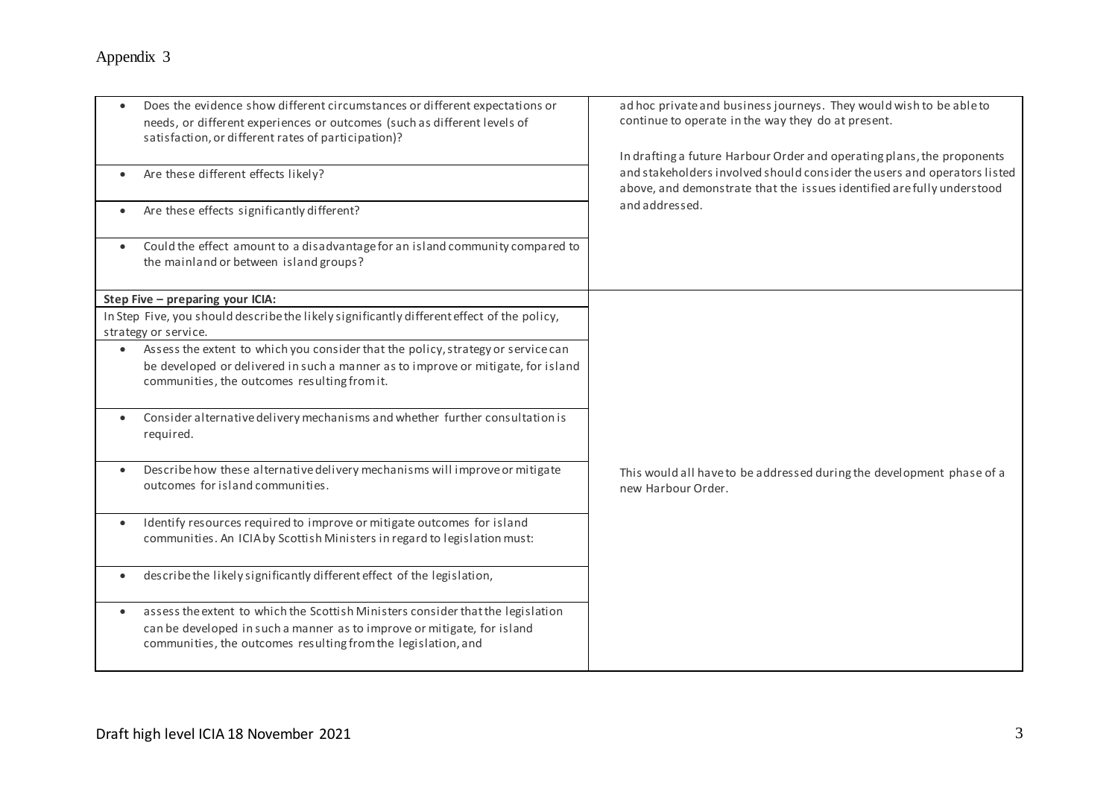|           | Does the evidence show different circumstances or different expectations or<br>needs, or different experiences or outcomes (such as different levels of<br>satisfaction, or different rates of participation)?              | ad hoc private and business journeys. They would wish to be able to<br>continue to operate in the way they do at present.<br>In drafting a future Harbour Order and operating plans, the proponents<br>and stakeholders involved should consider the users and operators listed<br>above, and demonstrate that the issues identified are fully understood<br>and addressed. |
|-----------|-----------------------------------------------------------------------------------------------------------------------------------------------------------------------------------------------------------------------------|-----------------------------------------------------------------------------------------------------------------------------------------------------------------------------------------------------------------------------------------------------------------------------------------------------------------------------------------------------------------------------|
|           | Are these different effects likely?                                                                                                                                                                                         |                                                                                                                                                                                                                                                                                                                                                                             |
|           | Are these effects significantly different?                                                                                                                                                                                  |                                                                                                                                                                                                                                                                                                                                                                             |
|           | Could the effect amount to a disadvantage for an island community compared to<br>the mainland or between island groups?                                                                                                     |                                                                                                                                                                                                                                                                                                                                                                             |
|           | Step Five - preparing your ICIA:                                                                                                                                                                                            |                                                                                                                                                                                                                                                                                                                                                                             |
|           | In Step Five, you should describe the likely significantly different effect of the policy,<br>strategy or service.                                                                                                          |                                                                                                                                                                                                                                                                                                                                                                             |
| $\bullet$ | Assess the extent to which you consider that the policy, strategy or service can<br>be developed or delivered in such a manner as to improve or mitigate, for island<br>communities, the outcomes resulting from it.        |                                                                                                                                                                                                                                                                                                                                                                             |
| $\bullet$ | Consider alternative delivery mechanisms and whether further consultation is<br>required.                                                                                                                                   |                                                                                                                                                                                                                                                                                                                                                                             |
|           | Describe how these alternative delivery mechanisms will improve or mitigate<br>outcomes for island communities.                                                                                                             | This would all have to be addressed during the development phase of a<br>new Harbour Order.                                                                                                                                                                                                                                                                                 |
|           | Identify resources required to improve or mitigate outcomes for island<br>communities. An ICIA by Scottish Ministers in regard to legislation must:                                                                         |                                                                                                                                                                                                                                                                                                                                                                             |
| $\bullet$ | describe the likely significantly different effect of the legislation,                                                                                                                                                      |                                                                                                                                                                                                                                                                                                                                                                             |
| $\bullet$ | assess the extent to which the Scottish Ministers consider that the legislation<br>can be developed in such a manner as to improve or mitigate, for island<br>communities, the outcomes resulting from the legislation, and |                                                                                                                                                                                                                                                                                                                                                                             |